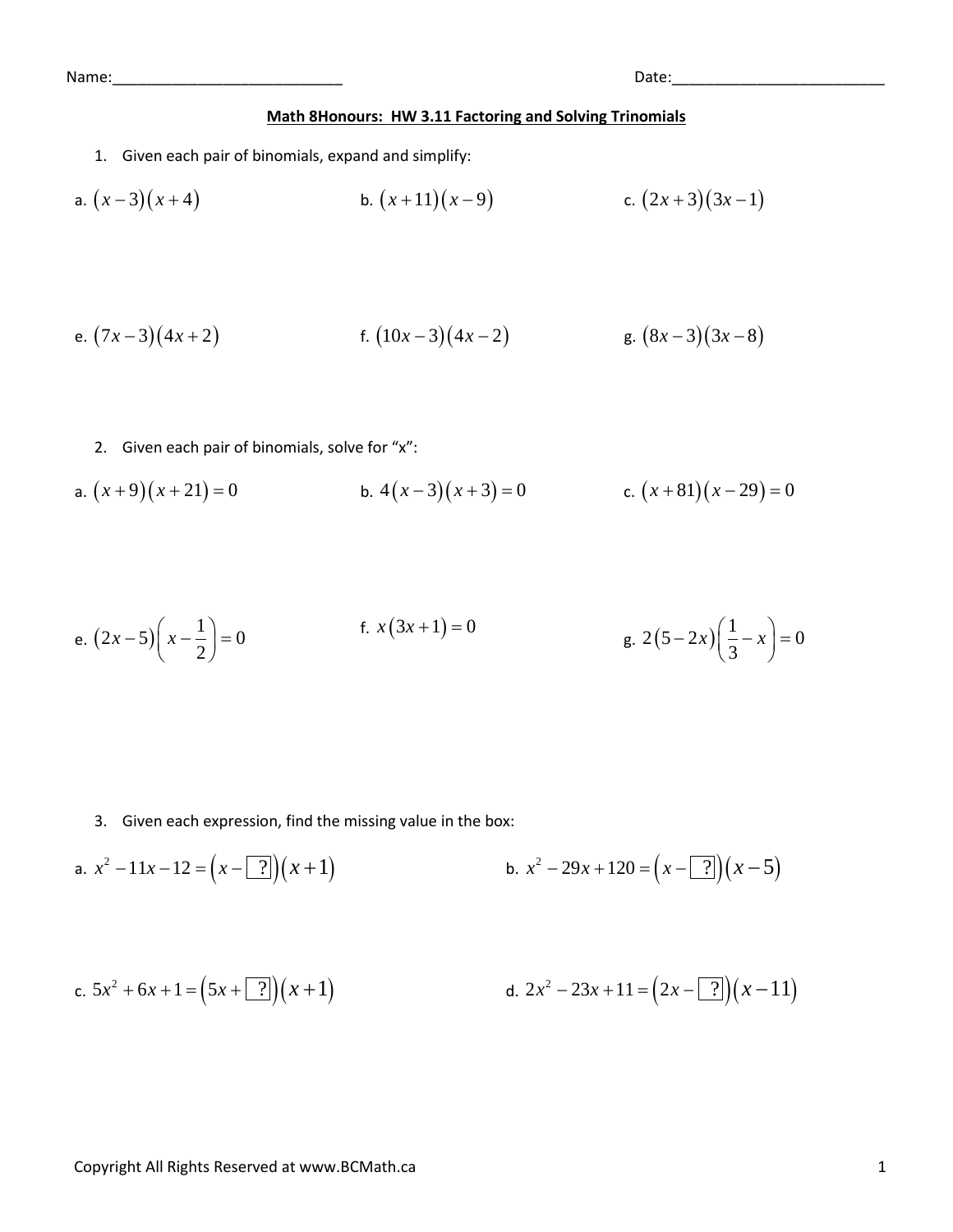## **Math 8Honours: HW 3.11 Factoring and Solving Trinomials**

1. Given each pair of binomials, expand and simplify:

a. 
$$
(x-3)(x+4)
$$
 b.  $(x+11)(x-9)$  c.  $(2x+3)(3x-1)$ 

e. 
$$
(7x-3)(4x+2)
$$
 f.  $(10x-3)(4x-2)$  g.  $(8x-3)(3x-8)$ 

2. Given each pair of binomials, solve for "x":

a. 
$$
(x+9)(x+21) = 0
$$
  
b.  $4(x-3)(x+3) = 0$   
c.  $(x+81)(x-29) = 0$ 

e. 
$$
(2x-5)\left(x-\frac{1}{2}\right)=0
$$
  
f.  $x(3x+1)=0$   
g.  $2(5-2x)\left(\frac{1}{3}-x\right)=0$ 

3. Given each expression, find the missing value in the box:

a. 
$$
x^2 - 11x - 12 = (x - 7)(x + 1)
$$
  
b.  $x^2 - 29x + 120 = (x - 7)(x - 5)$ 

c. 
$$
5x^2 + 6x + 1 = (5x + 7)(x + 1)
$$
  
d.  $2x^2 - 23x + 11 = (2x - 7)(x - 11)$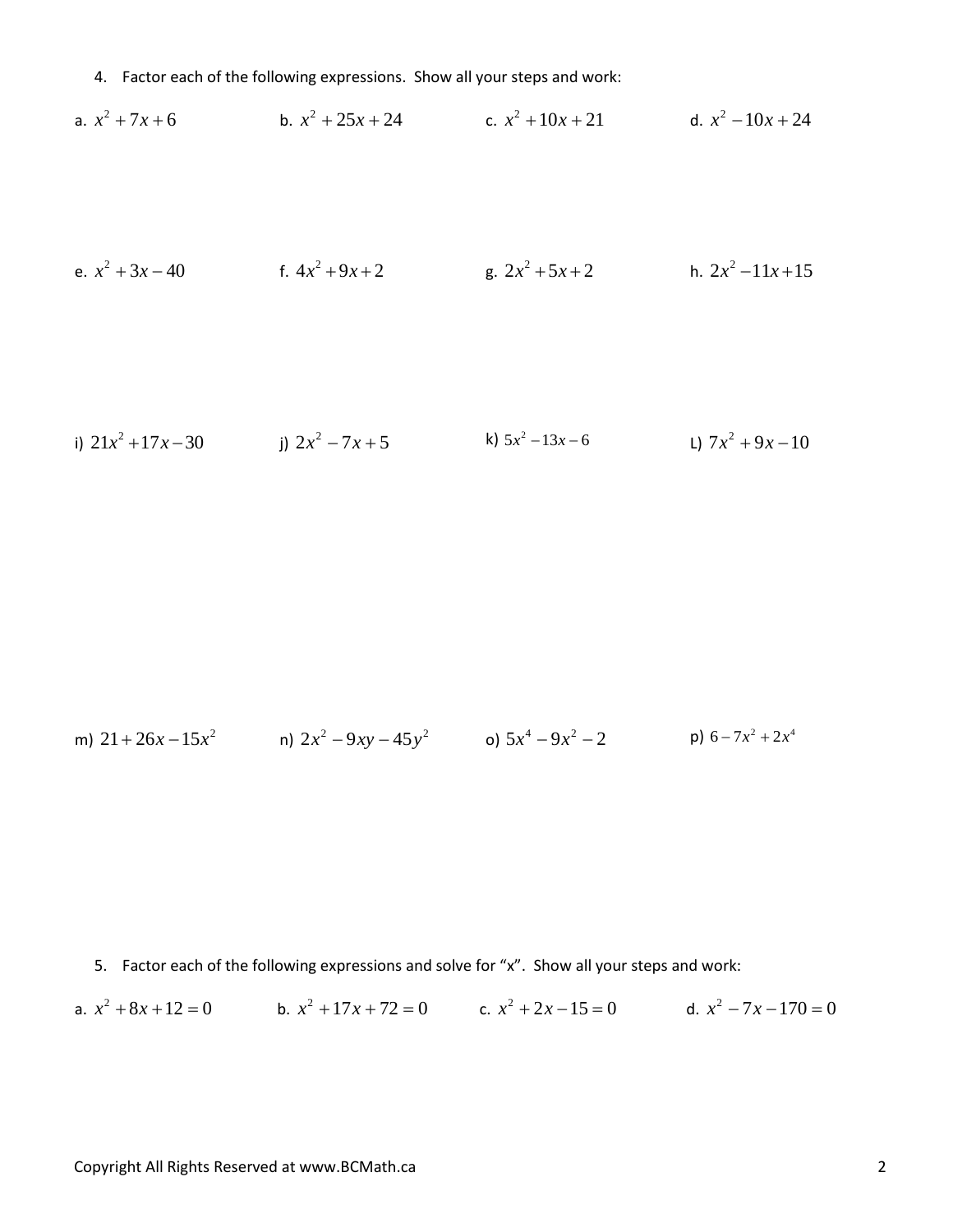4. Factor each of the following expressions. Show all your steps and work:

a.  $x^2 + 7x + 6$  b.  $x^2 + 25x + 24$  c.  $x^2 + 10x + 21$  d.  $x^2 - 10x + 24$ 

e. 
$$
x^2 + 3x - 40
$$
  
f.  $4x^2 + 9x + 2$   
g.  $2x^2 + 5x + 2$   
h.  $2x^2 - 11x + 15$ 

i) 
$$
21x^2 + 17x - 30
$$
 j)  $2x^2 - 7x + 5$  k)  $5x^2 - 13x - 6$  l)  $7x^2 + 9x - 10$ 

m) 
$$
21 + 26x - 15x^2
$$
 n)  $2x^2 - 9xy - 45y^2$  o)  $5x^4 - 9x^2 - 2$  p)  $6 - 7x^2 + 2x^4$ 

5. Factor each of the following expressions and solve for "x". Show all your steps and work:

a.  $x^2 + 8x + 12 = 0$ <br>b.  $x^2 + 17x + 72 = 0$ <br>c.  $x^2 + 2x - 15 = 0$ <br>d.  $x^2 - 7x - 170 = 0$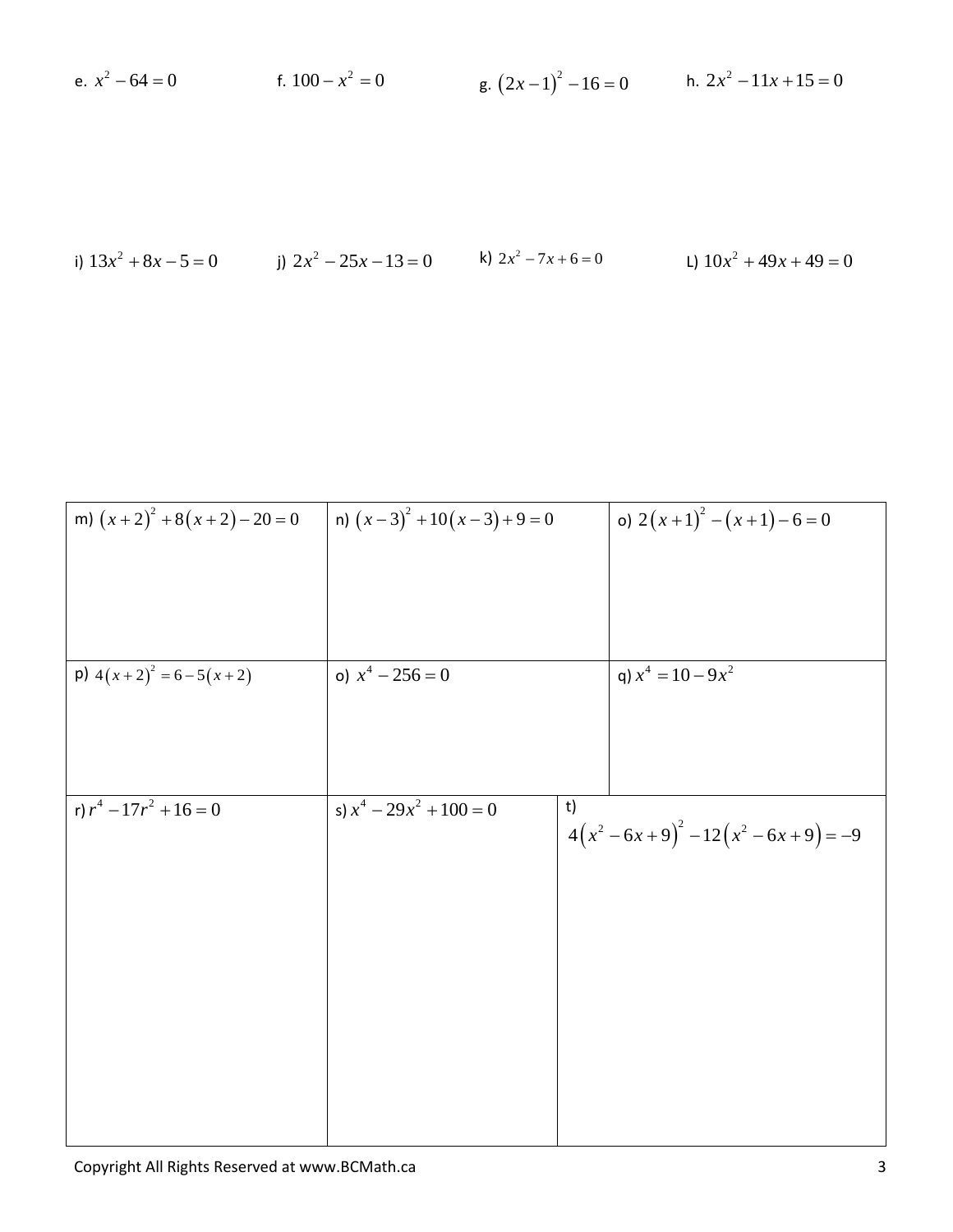| h. $2x^2 - 11x + 15 = 0$<br>e. $x^2 - 64 = 0$<br>f. $100 - x^2 = 0$<br>g. $(2x-1)^2 - 16 = 0$ |  |
|-----------------------------------------------------------------------------------------------|--|
|-----------------------------------------------------------------------------------------------|--|

i) 
$$
13x^2 + 8x - 5 = 0
$$
   
j)  $2x^2 - 25x - 13 = 0$    
k)  $2x^2 - 7x + 6 = 0$    
l)  $10x^2 + 49x + 49 = 0$ 

$$
\begin{array}{|c|c|c|c|c|c|c|c|} \hline \text{m)} & (x+2)^2 + 8(x+2) - 20 = 0 & \text{m)} & (x-3)^2 + 10(x-3) + 9 = 0 & \text{o)} & 2(x+1)^2 - (x+1) - 6 = 0 \\ \hline \text{p)} & 4(x+2)^2 = 6 - 5(x+2) & \text{o)} & x^4 - 256 = 0 & \text{q)} & x^4 = 10 - 9x^2 \\ \hline \text{p)} & 4(x+2)^2 = 6 - 5(x+2) & \text{o)} & x^4 - 256 = 0 & \text{q)} & x^4 = 10 - 9x^2 \\ \hline \text{p)} & r^4 - 17r^2 + 16 = 0 & \text{s)} & x^4 - 29x^2 + 100 = 0 & \text{t} \\ \hline \end{array}
$$